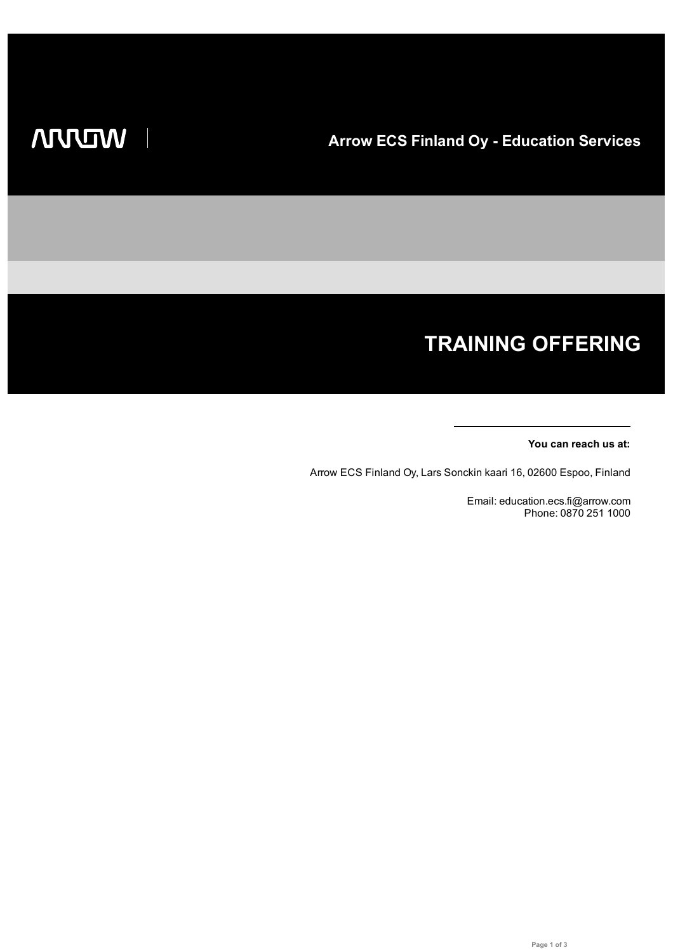# **TRAINING OFFERING**

#### **You can reach us at:**

Arrow ECS Finland Oy, Lars Sonckin kaari 16, 02600 Espoo, Finland

Email: education.ecs.fi@arrow.com Phone: 0870 251 1000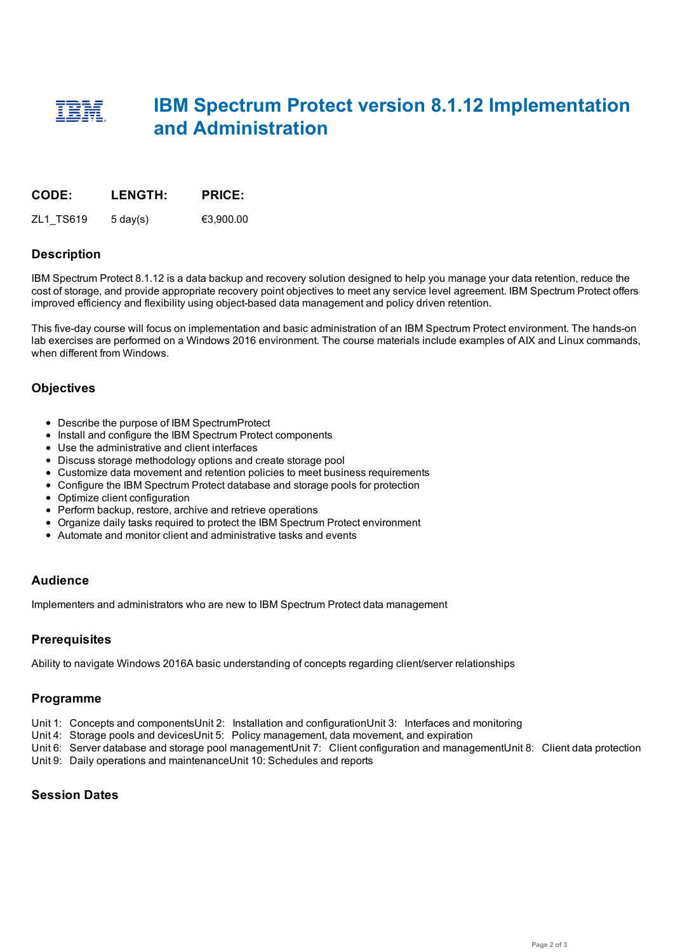## **IBM Spectrum Protect version 8.1.12 Implementation and Administration**

| CODE:     | <b>LENGTH:</b>     | <b>PRICE:</b> |
|-----------|--------------------|---------------|
| ZL1 TS619 | $5 \text{ day}(s)$ | €3.900.00     |

#### **Description**

IBM Spectrum Protect 8.1.12 is a data backup and recovery solution designed to help you manage your data retention, reduce the cost of storage, and provide appropriate recovery point objectives to meet any service level agreement. IBM Spectrum Protect offers improved efficiency and flexibility using object-based data management and policy driven retention.

This five-day course will focus on implementation and basic administration of an IBM Spectrum Protect environment. The hands-on lab exercises are performed on a Windows 2016 environment. The course materials include examples of AIX and Linux commands, when different from Windows.

#### **Objectives**

- Describe the purpose of IBM SpectrumProtect
- Install and configure the IBM Spectrum Protect components
- Use the administrative and client interfaces
- Discuss storage methodology options and create storage pool
- Customize data movement and retention policies to meet business requirements
- Configure the IBM Spectrum Protect database and storage pools for protection
- Optimize client configuration
- Perform backup, restore, archive and retrieve operations
- Organize daily tasks required to protect the IBM Spectrum Protect environment
- Automate and monitor client and administrative tasks and events

#### **Audience**

Implementers and administrators who are new to IBM Spectrum Protect data management

#### **Prerequisites**

Ability to navigate Windows 2016A basic understanding of concepts regarding client/server relationships

#### **Programme**

- Unit 1: Concepts and componentsUnit 2: Installation and configurationUnit 3: Interfaces and monitoring
- Unit 4: Storage pools and devicesUnit 5: Policy management, data movement, and expiration
- Unit 6: Server database and storage pool managementUnit 7: Client configuration and managementUnit 8: Client data protection
- Unit 9: Daily operations and maintenanceUnit 10: Schedules and reports

### **Session Dates**